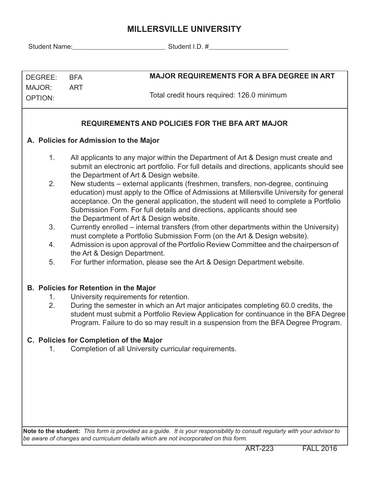## **MILLERSVILLE UNIVERSITY**

Student Name:\_\_\_\_\_\_\_\_\_\_\_\_\_\_\_\_\_\_\_\_\_\_\_\_\_\_\_\_ Student I.D. #\_\_\_\_\_\_\_\_\_\_\_\_\_\_\_\_\_\_\_\_\_\_\_\_

| DEGREE:                                                                             | <b>MAJOR REQUIREMENTS FOR A BFA DEGREE IN ART</b><br><b>BFA</b>                                                                                                                                                                                                                                                                                                                            |  |  |  |  |  |  |  |  |  |  |
|-------------------------------------------------------------------------------------|--------------------------------------------------------------------------------------------------------------------------------------------------------------------------------------------------------------------------------------------------------------------------------------------------------------------------------------------------------------------------------------------|--|--|--|--|--|--|--|--|--|--|
| MAJOR:                                                                              | <b>ART</b>                                                                                                                                                                                                                                                                                                                                                                                 |  |  |  |  |  |  |  |  |  |  |
| <b>OPTION:</b>                                                                      | Total credit hours required: 126.0 minimum                                                                                                                                                                                                                                                                                                                                                 |  |  |  |  |  |  |  |  |  |  |
|                                                                                     |                                                                                                                                                                                                                                                                                                                                                                                            |  |  |  |  |  |  |  |  |  |  |
| <b>REQUIREMENTS AND POLICIES FOR THE BFA ART MAJOR</b>                              |                                                                                                                                                                                                                                                                                                                                                                                            |  |  |  |  |  |  |  |  |  |  |
| A. Policies for Admission to the Major                                              |                                                                                                                                                                                                                                                                                                                                                                                            |  |  |  |  |  |  |  |  |  |  |
| 1.                                                                                  | All applicants to any major within the Department of Art & Design must create and<br>submit an electronic art portfolio. For full details and directions, applicants should see<br>the Department of Art & Design website.                                                                                                                                                                 |  |  |  |  |  |  |  |  |  |  |
| 2.                                                                                  | New students – external applicants (freshmen, transfers, non-degree, continuing<br>education) must apply to the Office of Admissions at Millersville University for general<br>acceptance. On the general application, the student will need to complete a Portfolio<br>Submission Form. For full details and directions, applicants should see<br>the Department of Art & Design website. |  |  |  |  |  |  |  |  |  |  |
| 3.                                                                                  | Currently enrolled – internal transfers (from other departments within the University)<br>must complete a Portfolio Submission Form (on the Art & Design website).                                                                                                                                                                                                                         |  |  |  |  |  |  |  |  |  |  |
| 4.                                                                                  | Admission is upon approval of the Portfolio Review Committee and the chairperson of<br>the Art & Design Department.                                                                                                                                                                                                                                                                        |  |  |  |  |  |  |  |  |  |  |
| 5.                                                                                  | For further information, please see the Art & Design Department website.                                                                                                                                                                                                                                                                                                                   |  |  |  |  |  |  |  |  |  |  |
| 1.<br>2.                                                                            | <b>B. Policies for Retention in the Major</b><br>University requirements for retention.<br>During the semester in which an Art major anticipates completing 60.0 credits, the<br>student must submit a Portfolio Review Application for continuance in the BFA Degree<br>Program. Failure to do so may result in a suspension from the BFA Degree Program.                                 |  |  |  |  |  |  |  |  |  |  |
|                                                                                     | C. Policies for Completion of the Major                                                                                                                                                                                                                                                                                                                                                    |  |  |  |  |  |  |  |  |  |  |
| 1.                                                                                  | Completion of all University curricular requirements.                                                                                                                                                                                                                                                                                                                                      |  |  |  |  |  |  |  |  |  |  |
|                                                                                     |                                                                                                                                                                                                                                                                                                                                                                                            |  |  |  |  |  |  |  |  |  |  |
|                                                                                     |                                                                                                                                                                                                                                                                                                                                                                                            |  |  |  |  |  |  |  |  |  |  |
|                                                                                     |                                                                                                                                                                                                                                                                                                                                                                                            |  |  |  |  |  |  |  |  |  |  |
|                                                                                     |                                                                                                                                                                                                                                                                                                                                                                                            |  |  |  |  |  |  |  |  |  |  |
|                                                                                     |                                                                                                                                                                                                                                                                                                                                                                                            |  |  |  |  |  |  |  |  |  |  |
|                                                                                     |                                                                                                                                                                                                                                                                                                                                                                                            |  |  |  |  |  |  |  |  |  |  |
|                                                                                     | Note to the student: This form is provided as a guide. It is your responsibility to consult regularly with your advisor to                                                                                                                                                                                                                                                                 |  |  |  |  |  |  |  |  |  |  |
| be aware of changes and curriculum details which are not incorporated on this form. |                                                                                                                                                                                                                                                                                                                                                                                            |  |  |  |  |  |  |  |  |  |  |
|                                                                                     |                                                                                                                                                                                                                                                                                                                                                                                            |  |  |  |  |  |  |  |  |  |  |